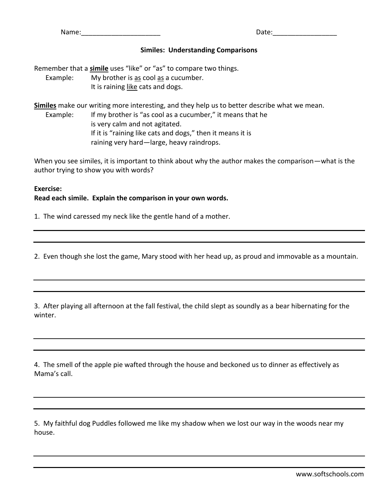Name: 2008. 2010. 2010. 2010. 2010. 2010. 2010. 2010. 2010. 2010. 2010. 2010. 2010. 2010. 2010. 2010. 2010. 20

## **Similes: Understanding Comparisons**

Remember that a **simile** uses "like" or "as" to compare two things. Example: My brother is as cool as a cucumber. It is raining like cats and dogs.

**Similes** make our writing more interesting, and they help us to better describe what we mean. Example: If my brother is "as cool as a cucumber," it means that he is very calm and not agitated. If it is "raining like cats and dogs," then it means it is raining very hard—large, heavy raindrops.

When you see similes, it is important to think about why the author makes the comparison—what is the author trying to show you with words?

## **Exercise: Read each simile. Explain the comparison in your own words.**

1. The wind caressed my neck like the gentle hand of a mother.

2. Even though she lost the game, Mary stood with her head up, as proud and immovable as a mountain.

3. After playing all afternoon at the fall festival, the child slept as soundly as a bear hibernating for the winter.

4. The smell of the apple pie wafted through the house and beckoned us to dinner as effectively as Mama's call.

5. My faithful dog Puddles followed me like my shadow when we lost our way in the woods near my house.